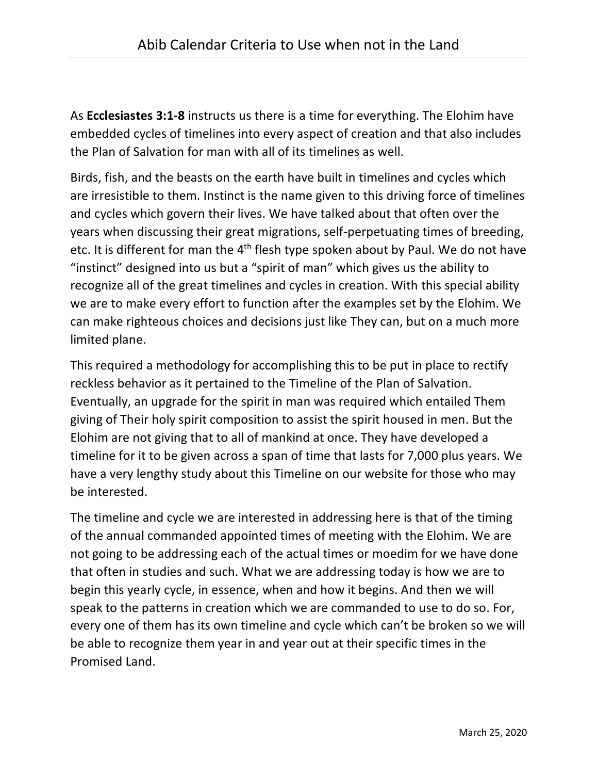As **Ecclesiastes 3:1-8** instructs us there is a time for everything. The Elohim have embedded cycles of timelines into every aspect of creation and that also includes the Plan of Salvation for man with all of its timelines as well.

Birds, fish, and the beasts on the earth have built in timelines and cycles which are irresistible to them. Instinct is the name given to this driving force of timelines and cycles which govern their lives. We have talked about that often over the years when discussing their great migrations, self-perpetuating times of breeding, etc. It is different for man the 4<sup>th</sup> flesh type spoken about by Paul. We do not have "instinct" designed into us but a "spirit of man" which gives us the ability to recognize all of the great timelines and cycles in creation. With this special ability we are to make every effort to function after the examples set by the Elohim. We can make righteous choices and decisions just like They can, but on a much more limited plane.

This required a methodology for accomplishing this to be put in place to rectify reckless behavior as it pertained to the Timeline of the Plan of Salvation. Eventually, an upgrade for the spirit in man was required which entailed Them giving of Their holy spirit composition to assist the spirit housed in men. But the Elohim are not giving that to all of mankind at once. They have developed a timeline for it to be given across a span of time that lasts for 7,000 plus years. We have a very lengthy study about this Timeline on our website for those who may be interested.

The timeline and cycle we are interested in addressing here is that of the timing of the annual commanded appointed times of meeting with the Elohim. We are not going to be addressing each of the actual times or moedim for we have done that often in studies and such. What we are addressing today is how we are to begin this yearly cycle, in essence, when and how it begins. And then we will speak to the patterns in creation which we are commanded to use to do so. For, every one of them has its own timeline and cycle which can't be broken so we will be able to recognize them year in and year out at their specific times in the Promised Land.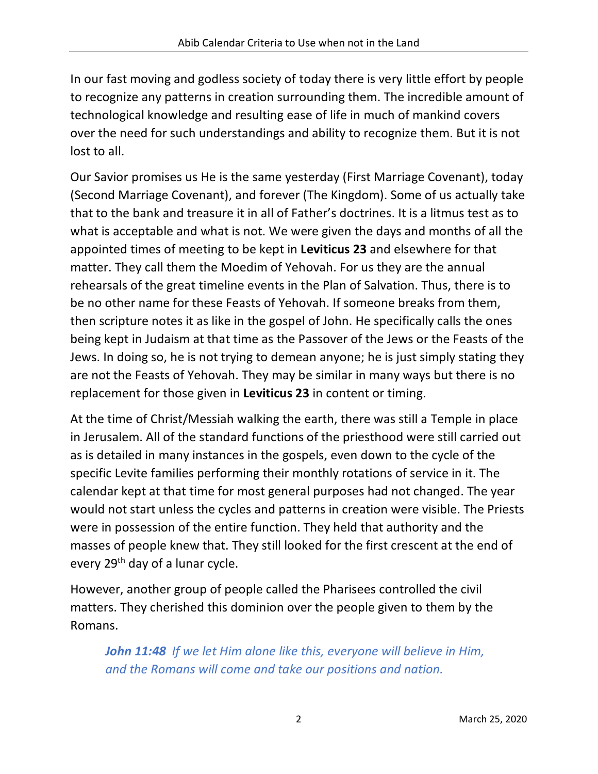In our fast moving and godless society of today there is very little effort by people to recognize any patterns in creation surrounding them. The incredible amount of technological knowledge and resulting ease of life in much of mankind covers over the need for such understandings and ability to recognize them. But it is not lost to all.

Our Savior promises us He is the same yesterday (First Marriage Covenant), today (Second Marriage Covenant), and forever (The Kingdom). Some of us actually take that to the bank and treasure it in all of Father's doctrines. It is a litmus test as to what is acceptable and what is not. We were given the days and months of all the appointed times of meeting to be kept in **Leviticus 23** and elsewhere for that matter. They call them the Moedim of Yehovah. For us they are the annual rehearsals of the great timeline events in the Plan of Salvation. Thus, there is to be no other name for these Feasts of Yehovah. If someone breaks from them, then scripture notes it as like in the gospel of John. He specifically calls the ones being kept in Judaism at that time as the Passover of the Jews or the Feasts of the Jews. In doing so, he is not trying to demean anyone; he is just simply stating they are not the Feasts of Yehovah. They may be similar in many ways but there is no replacement for those given in **Leviticus 23** in content or timing.

At the time of Christ/Messiah walking the earth, there was still a Temple in place in Jerusalem. All of the standard functions of the priesthood were still carried out as is detailed in many instances in the gospels, even down to the cycle of the specific Levite families performing their monthly rotations of service in it. The calendar kept at that time for most general purposes had not changed. The year would not start unless the cycles and patterns in creation were visible. The Priests were in possession of the entire function. They held that authority and the masses of people knew that. They still looked for the first crescent at the end of every 29<sup>th</sup> day of a lunar cycle.

However, another group of people called the Pharisees controlled the civil matters. They cherished this dominion over the people given to them by the Romans.

*John 11:48 If we let Him alone like this, everyone will believe in Him, and the Romans will come and take our positions and nation.*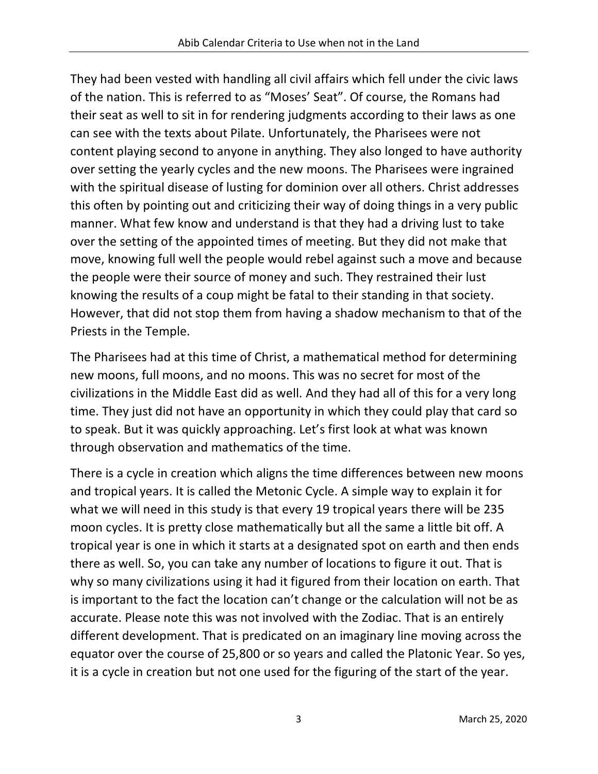They had been vested with handling all civil affairs which fell under the civic laws of the nation. This is referred to as "Moses' Seat". Of course, the Romans had their seat as well to sit in for rendering judgments according to their laws as one can see with the texts about Pilate. Unfortunately, the Pharisees were not content playing second to anyone in anything. They also longed to have authority over setting the yearly cycles and the new moons. The Pharisees were ingrained with the spiritual disease of lusting for dominion over all others. Christ addresses this often by pointing out and criticizing their way of doing things in a very public manner. What few know and understand is that they had a driving lust to take over the setting of the appointed times of meeting. But they did not make that move, knowing full well the people would rebel against such a move and because the people were their source of money and such. They restrained their lust knowing the results of a coup might be fatal to their standing in that society. However, that did not stop them from having a shadow mechanism to that of the Priests in the Temple.

The Pharisees had at this time of Christ, a mathematical method for determining new moons, full moons, and no moons. This was no secret for most of the civilizations in the Middle East did as well. And they had all of this for a very long time. They just did not have an opportunity in which they could play that card so to speak. But it was quickly approaching. Let's first look at what was known through observation and mathematics of the time.

There is a cycle in creation which aligns the time differences between new moons and tropical years. It is called the Metonic Cycle. A simple way to explain it for what we will need in this study is that every 19 tropical years there will be 235 moon cycles. It is pretty close mathematically but all the same a little bit off. A tropical year is one in which it starts at a designated spot on earth and then ends there as well. So, you can take any number of locations to figure it out. That is why so many civilizations using it had it figured from their location on earth. That is important to the fact the location can't change or the calculation will not be as accurate. Please note this was not involved with the Zodiac. That is an entirely different development. That is predicated on an imaginary line moving across the equator over the course of 25,800 or so years and called the Platonic Year. So yes, it is a cycle in creation but not one used for the figuring of the start of the year.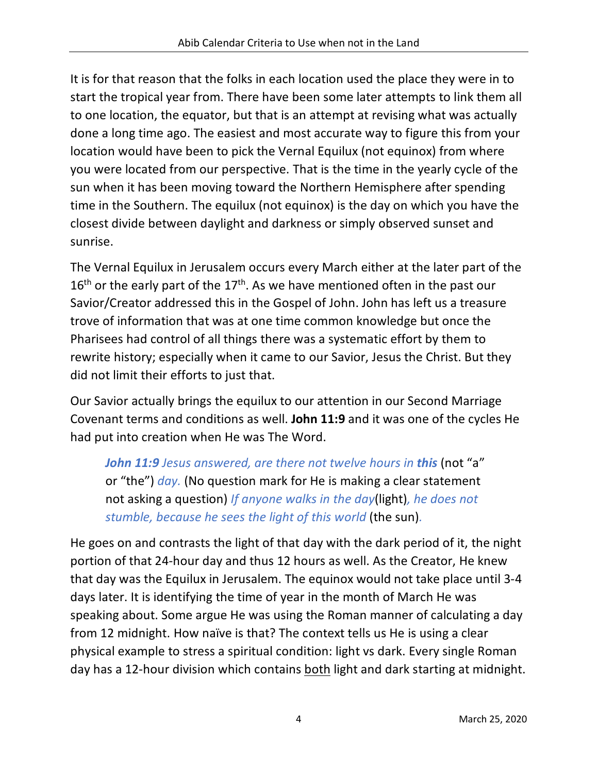It is for that reason that the folks in each location used the place they were in to start the tropical year from. There have been some later attempts to link them all to one location, the equator, but that is an attempt at revising what was actually done a long time ago. The easiest and most accurate way to figure this from your location would have been to pick the Vernal Equilux (not equinox) from where you were located from our perspective. That is the time in the yearly cycle of the sun when it has been moving toward the Northern Hemisphere after spending time in the Southern. The equilux (not equinox) is the day on which you have the closest divide between daylight and darkness or simply observed sunset and sunrise.

The Vernal Equilux in Jerusalem occurs every March either at the later part of the  $16<sup>th</sup>$  or the early part of the  $17<sup>th</sup>$ . As we have mentioned often in the past our Savior/Creator addressed this in the Gospel of John. John has left us a treasure trove of information that was at one time common knowledge but once the Pharisees had control of all things there was a systematic effort by them to rewrite history; especially when it came to our Savior, Jesus the Christ. But they did not limit their efforts to just that.

Our Savior actually brings the equilux to our attention in our Second Marriage Covenant terms and conditions as well. **John 11:9** and it was one of the cycles He had put into creation when He was The Word.

*John 11:9 Jesus answered, are there not twelve hours in this (not "a"* or "the") *day.* (No question mark for He is making a clear statement not asking a question) *If anyone walks in the day*(light)*, he does not stumble, because he sees the light of this world* (the sun)*.*

He goes on and contrasts the light of that day with the dark period of it, the night portion of that 24-hour day and thus 12 hours as well. As the Creator, He knew that day was the Equilux in Jerusalem. The equinox would not take place until 3-4 days later. It is identifying the time of year in the month of March He was speaking about. Some argue He was using the Roman manner of calculating a day from 12 midnight. How naïve is that? The context tells us He is using a clear physical example to stress a spiritual condition: light vs dark. Every single Roman day has a 12-hour division which contains both light and dark starting at midnight.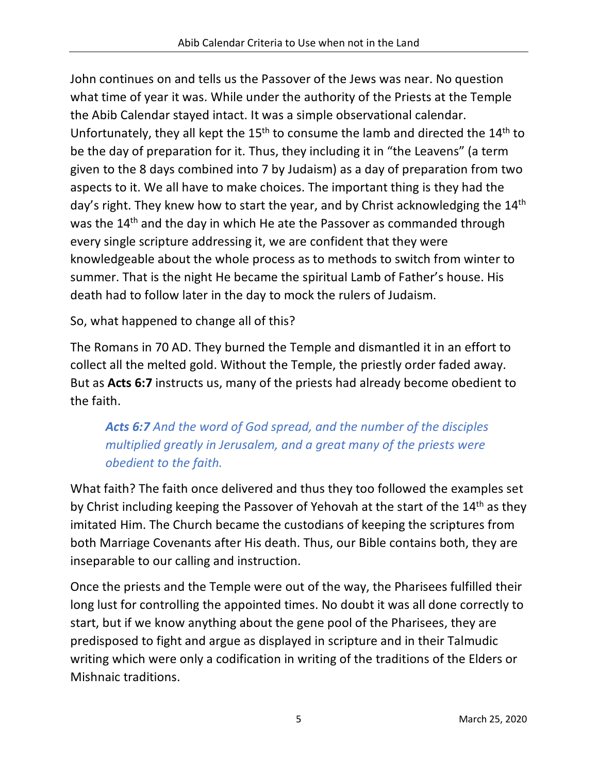John continues on and tells us the Passover of the Jews was near. No question what time of year it was. While under the authority of the Priests at the Temple the Abib Calendar stayed intact. It was a simple observational calendar. Unfortunately, they all kept the  $15<sup>th</sup>$  to consume the lamb and directed the  $14<sup>th</sup>$  to be the day of preparation for it. Thus, they including it in "the Leavens" (a term given to the 8 days combined into 7 by Judaism) as a day of preparation from two aspects to it. We all have to make choices. The important thing is they had the day's right. They knew how to start the year, and by Christ acknowledging the 14<sup>th</sup> was the 14<sup>th</sup> and the day in which He ate the Passover as commanded through every single scripture addressing it, we are confident that they were knowledgeable about the whole process as to methods to switch from winter to summer. That is the night He became the spiritual Lamb of Father's house. His death had to follow later in the day to mock the rulers of Judaism.

So, what happened to change all of this?

The Romans in 70 AD. They burned the Temple and dismantled it in an effort to collect all the melted gold. Without the Temple, the priestly order faded away. But as **Acts 6:7** instructs us, many of the priests had already become obedient to the faith.

#### *Acts 6:7 And the word of God spread, and the number of the disciples multiplied greatly in Jerusalem, and a great many of the priests were obedient to the faith.*

What faith? The faith once delivered and thus they too followed the examples set by Christ including keeping the Passover of Yehovah at the start of the 14<sup>th</sup> as they imitated Him. The Church became the custodians of keeping the scriptures from both Marriage Covenants after His death. Thus, our Bible contains both, they are inseparable to our calling and instruction.

Once the priests and the Temple were out of the way, the Pharisees fulfilled their long lust for controlling the appointed times. No doubt it was all done correctly to start, but if we know anything about the gene pool of the Pharisees, they are predisposed to fight and argue as displayed in scripture and in their Talmudic writing which were only a codification in writing of the traditions of the Elders or Mishnaic traditions.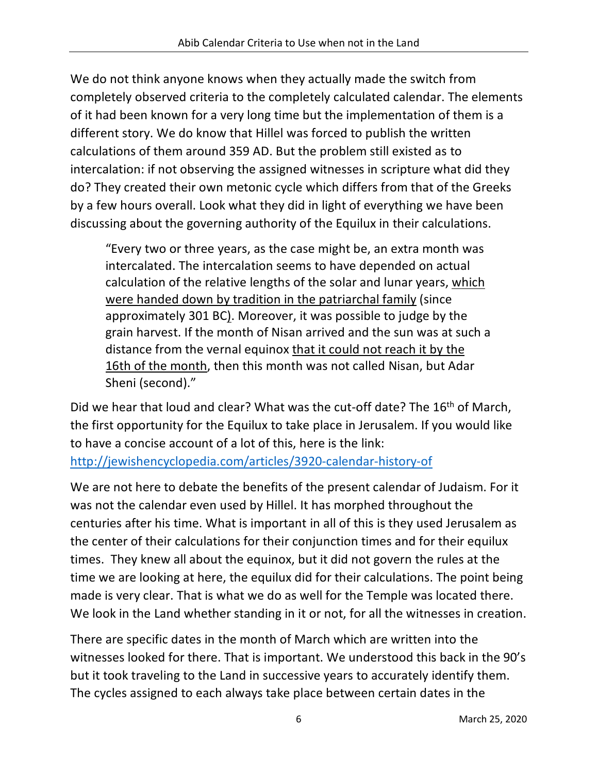We do not think anyone knows when they actually made the switch from completely observed criteria to the completely calculated calendar. The elements of it had been known for a very long time but the implementation of them is a different story. We do know that Hillel was forced to publish the written calculations of them around 359 AD. But the problem still existed as to intercalation: if not observing the assigned witnesses in scripture what did they do? They created their own metonic cycle which differs from that of the Greeks by a few hours overall. Look what they did in light of everything we have been discussing about the governing authority of the Equilux in their calculations.

"Every two or three years, as the case might be, an extra month was intercalated. The intercalation seems to have depended on actual calculation of the relative lengths of the solar and lunar years, which were handed down by tradition in the patriarchal family (since approximately 301 BC). Moreover, it was possible to judge by the grain harvest. If the month of Nisan arrived and the sun was at such a distance from the vernal equinox that it could not reach it by the 16th of the month, then this month was not called Nisan, but Adar Sheni (second)."

Did we hear that loud and clear? What was the cut-off date? The 16<sup>th</sup> of March, the first opportunity for the Equilux to take place in Jerusalem. If you would like to have a concise account of a lot of this, here is the link: http://jewishencyclopedia.com/articles/3920-calendar-history-of

We are not here to debate the benefits of the present calendar of Judaism. For it was not the calendar even used by Hillel. It has morphed throughout the centuries after his time. What is important in all of this is they used Jerusalem as the center of their calculations for their conjunction times and for their equilux times. They knew all about the equinox, but it did not govern the rules at the time we are looking at here, the equilux did for their calculations. The point being made is very clear. That is what we do as well for the Temple was located there. We look in the Land whether standing in it or not, for all the witnesses in creation.

There are specific dates in the month of March which are written into the witnesses looked for there. That is important. We understood this back in the 90's but it took traveling to the Land in successive years to accurately identify them. The cycles assigned to each always take place between certain dates in the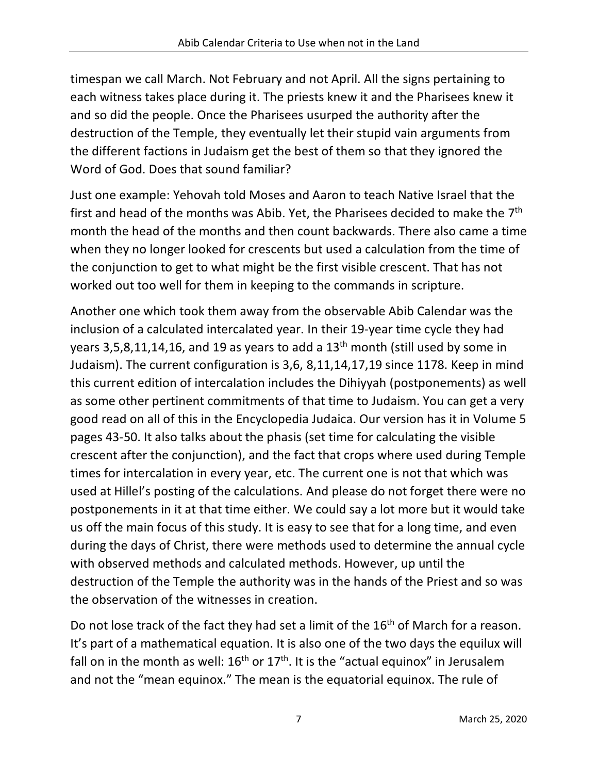timespan we call March. Not February and not April. All the signs pertaining to each witness takes place during it. The priests knew it and the Pharisees knew it and so did the people. Once the Pharisees usurped the authority after the destruction of the Temple, they eventually let their stupid vain arguments from the different factions in Judaism get the best of them so that they ignored the Word of God. Does that sound familiar?

Just one example: Yehovah told Moses and Aaron to teach Native Israel that the first and head of the months was Abib. Yet, the Pharisees decided to make the 7<sup>th</sup> month the head of the months and then count backwards. There also came a time when they no longer looked for crescents but used a calculation from the time of the conjunction to get to what might be the first visible crescent. That has not worked out too well for them in keeping to the commands in scripture.

Another one which took them away from the observable Abib Calendar was the inclusion of a calculated intercalated year. In their 19-year time cycle they had years 3,5,8,11,14,16, and 19 as years to add a 13<sup>th</sup> month (still used by some in Judaism). The current configuration is 3,6, 8,11,14,17,19 since 1178. Keep in mind this current edition of intercalation includes the Dihiyyah (postponements) as well as some other pertinent commitments of that time to Judaism. You can get a very good read on all of this in the Encyclopedia Judaica. Our version has it in Volume 5 pages 43-50. It also talks about the phasis (set time for calculating the visible crescent after the conjunction), and the fact that crops where used during Temple times for intercalation in every year, etc. The current one is not that which was used at Hillel's posting of the calculations. And please do not forget there were no postponements in it at that time either. We could say a lot more but it would take us off the main focus of this study. It is easy to see that for a long time, and even during the days of Christ, there were methods used to determine the annual cycle with observed methods and calculated methods. However, up until the destruction of the Temple the authority was in the hands of the Priest and so was the observation of the witnesses in creation.

Do not lose track of the fact they had set a limit of the 16<sup>th</sup> of March for a reason. It's part of a mathematical equation. It is also one of the two days the equilux will fall on in the month as well:  $16<sup>th</sup>$  or  $17<sup>th</sup>$ . It is the "actual equinox" in Jerusalem and not the "mean equinox." The mean is the equatorial equinox. The rule of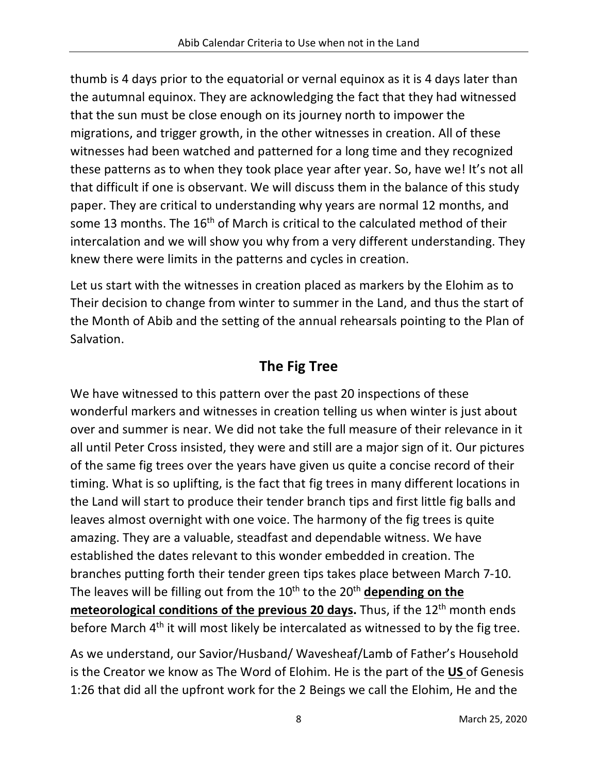thumb is 4 days prior to the equatorial or vernal equinox as it is 4 days later than the autumnal equinox. They are acknowledging the fact that they had witnessed that the sun must be close enough on its journey north to impower the migrations, and trigger growth, in the other witnesses in creation. All of these witnesses had been watched and patterned for a long time and they recognized these patterns as to when they took place year after year. So, have we! It's not all that difficult if one is observant. We will discuss them in the balance of this study paper. They are critical to understanding why years are normal 12 months, and some 13 months. The 16<sup>th</sup> of March is critical to the calculated method of their intercalation and we will show you why from a very different understanding. They knew there were limits in the patterns and cycles in creation.

Let us start with the witnesses in creation placed as markers by the Elohim as to Their decision to change from winter to summer in the Land, and thus the start of the Month of Abib and the setting of the annual rehearsals pointing to the Plan of Salvation.

# **The Fig Tree**

We have witnessed to this pattern over the past 20 inspections of these wonderful markers and witnesses in creation telling us when winter is just about over and summer is near. We did not take the full measure of their relevance in it all until Peter Cross insisted, they were and still are a major sign of it. Our pictures of the same fig trees over the years have given us quite a concise record of their timing. What is so uplifting, is the fact that fig trees in many different locations in the Land will start to produce their tender branch tips and first little fig balls and leaves almost overnight with one voice. The harmony of the fig trees is quite amazing. They are a valuable, steadfast and dependable witness. We have established the dates relevant to this wonder embedded in creation. The branches putting forth their tender green tips takes place between March 7-10. The leaves will be filling out from the 10<sup>th</sup> to the 20<sup>th</sup> depending on the **meteorological conditions of the previous 20 days.** Thus, if the 12<sup>th</sup> month ends before March 4<sup>th</sup> it will most likely be intercalated as witnessed to by the fig tree.

As we understand, our Savior/Husband/ Wavesheaf/Lamb of Father's Household is the Creator we know as The Word of Elohim. He is the part of the **US** of Genesis 1:26 that did all the upfront work for the 2 Beings we call the Elohim, He and the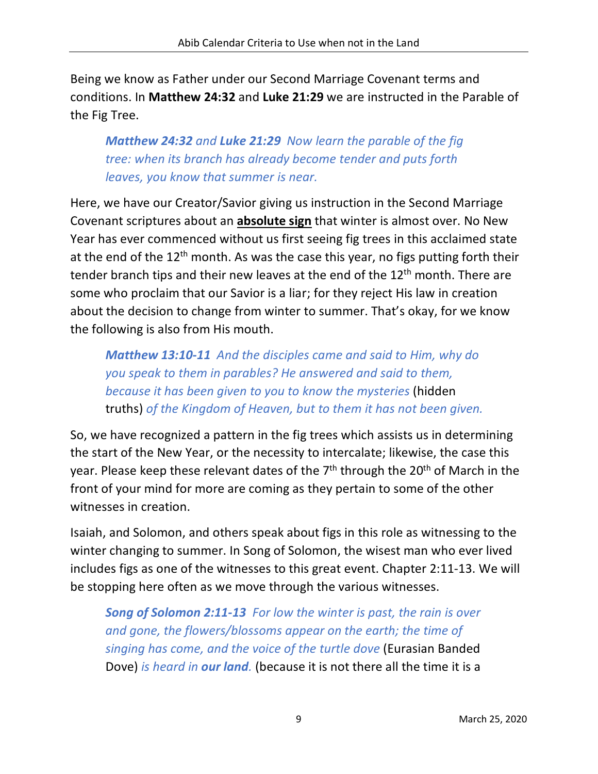Being we know as Father under our Second Marriage Covenant terms and conditions. In **Matthew 24:32** and **Luke 21:29** we are instructed in the Parable of the Fig Tree.

*Matthew 24:32 and Luke 21:29 Now learn the parable of the fig tree: when its branch has already become tender and puts forth leaves, you know that summer is near.*

Here, we have our Creator/Savior giving us instruction in the Second Marriage Covenant scriptures about an **absolute sign** that winter is almost over. No New Year has ever commenced without us first seeing fig trees in this acclaimed state at the end of the 12<sup>th</sup> month. As was the case this year, no figs putting forth their tender branch tips and their new leaves at the end of the 12<sup>th</sup> month. There are some who proclaim that our Savior is a liar; for they reject His law in creation about the decision to change from winter to summer. That's okay, for we know the following is also from His mouth.

*Matthew 13:10-11 And the disciples came and said to Him, why do you speak to them in parables? He answered and said to them, because it has been given to you to know the mysteries* (hidden truths) *of the Kingdom of Heaven, but to them it has not been given.*

So, we have recognized a pattern in the fig trees which assists us in determining the start of the New Year, or the necessity to intercalate; likewise, the case this year. Please keep these relevant dates of the  $7<sup>th</sup>$  through the 20<sup>th</sup> of March in the front of your mind for more are coming as they pertain to some of the other witnesses in creation.

Isaiah, and Solomon, and others speak about figs in this role as witnessing to the winter changing to summer. In Song of Solomon, the wisest man who ever lived includes figs as one of the witnesses to this great event. Chapter 2:11-13. We will be stopping here often as we move through the various witnesses.

*Song of Solomon 2:11-13 For low the winter is past, the rain is over and gone, the flowers/blossoms appear on the earth; the time of singing has come, and the voice of the turtle dove* (Eurasian Banded Dove) *is heard in our land.* (because it is not there all the time it is a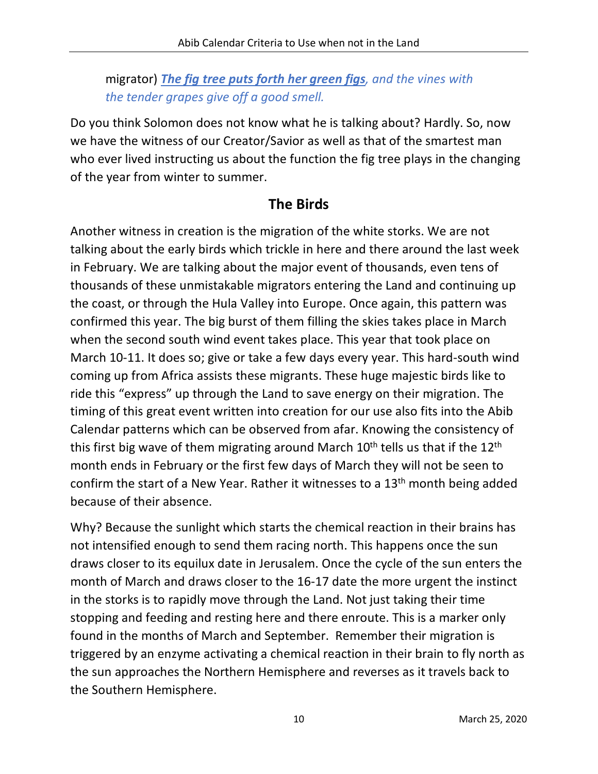#### migrator) *The fig tree puts forth her green figs, and the vines with the tender grapes give off a good smell.*

Do you think Solomon does not know what he is talking about? Hardly. So, now we have the witness of our Creator/Savior as well as that of the smartest man who ever lived instructing us about the function the fig tree plays in the changing of the year from winter to summer.

#### **The Birds**

Another witness in creation is the migration of the white storks. We are not talking about the early birds which trickle in here and there around the last week in February. We are talking about the major event of thousands, even tens of thousands of these unmistakable migrators entering the Land and continuing up the coast, or through the Hula Valley into Europe. Once again, this pattern was confirmed this year. The big burst of them filling the skies takes place in March when the second south wind event takes place. This year that took place on March 10-11. It does so; give or take a few days every year. This hard-south wind coming up from Africa assists these migrants. These huge majestic birds like to ride this "express" up through the Land to save energy on their migration. The timing of this great event written into creation for our use also fits into the Abib Calendar patterns which can be observed from afar. Knowing the consistency of this first big wave of them migrating around March  $10<sup>th</sup>$  tells us that if the  $12<sup>th</sup>$ month ends in February or the first few days of March they will not be seen to confirm the start of a New Year. Rather it witnesses to a 13th month being added because of their absence.

Why? Because the sunlight which starts the chemical reaction in their brains has not intensified enough to send them racing north. This happens once the sun draws closer to its equilux date in Jerusalem. Once the cycle of the sun enters the month of March and draws closer to the 16-17 date the more urgent the instinct in the storks is to rapidly move through the Land. Not just taking their time stopping and feeding and resting here and there enroute. This is a marker only found in the months of March and September. Remember their migration is triggered by an enzyme activating a chemical reaction in their brain to fly north as the sun approaches the Northern Hemisphere and reverses as it travels back to the Southern Hemisphere.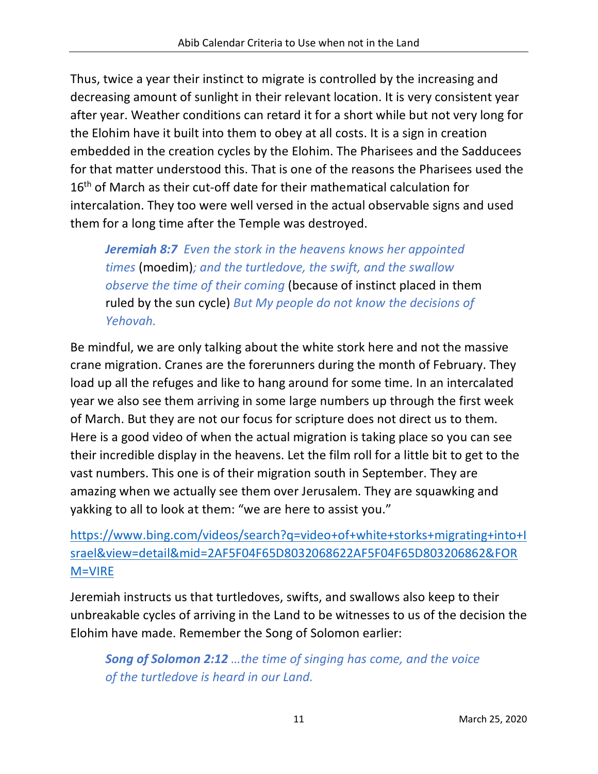Thus, twice a year their instinct to migrate is controlled by the increasing and decreasing amount of sunlight in their relevant location. It is very consistent year after year. Weather conditions can retard it for a short while but not very long for the Elohim have it built into them to obey at all costs. It is a sign in creation embedded in the creation cycles by the Elohim. The Pharisees and the Sadducees for that matter understood this. That is one of the reasons the Pharisees used the 16<sup>th</sup> of March as their cut-off date for their mathematical calculation for intercalation. They too were well versed in the actual observable signs and used them for a long time after the Temple was destroyed.

*Jeremiah 8:7 Even the stork in the heavens knows her appointed times* (moedim)*; and the turtledove, the swift, and the swallow observe the time of their coming* (because of instinct placed in them ruled by the sun cycle) *But My people do not know the decisions of Yehovah.*

Be mindful, we are only talking about the white stork here and not the massive crane migration. Cranes are the forerunners during the month of February. They load up all the refuges and like to hang around for some time. In an intercalated year we also see them arriving in some large numbers up through the first week of March. But they are not our focus for scripture does not direct us to them. Here is a good video of when the actual migration is taking place so you can see their incredible display in the heavens. Let the film roll for a little bit to get to the vast numbers. This one is of their migration south in September. They are amazing when we actually see them over Jerusalem. They are squawking and yakking to all to look at them: "we are here to assist you."

#### https://www.bing.com/videos/search?q=video+of+white+storks+migrating+into+I srael&view=detail&mid=2AF5F04F65D8032068622AF5F04F65D803206862&FOR M=VIRE

Jeremiah instructs us that turtledoves, swifts, and swallows also keep to their unbreakable cycles of arriving in the Land to be witnesses to us of the decision the Elohim have made. Remember the Song of Solomon earlier:

*Song of Solomon 2:12 …the time of singing has come, and the voice of the turtledove is heard in our Land.*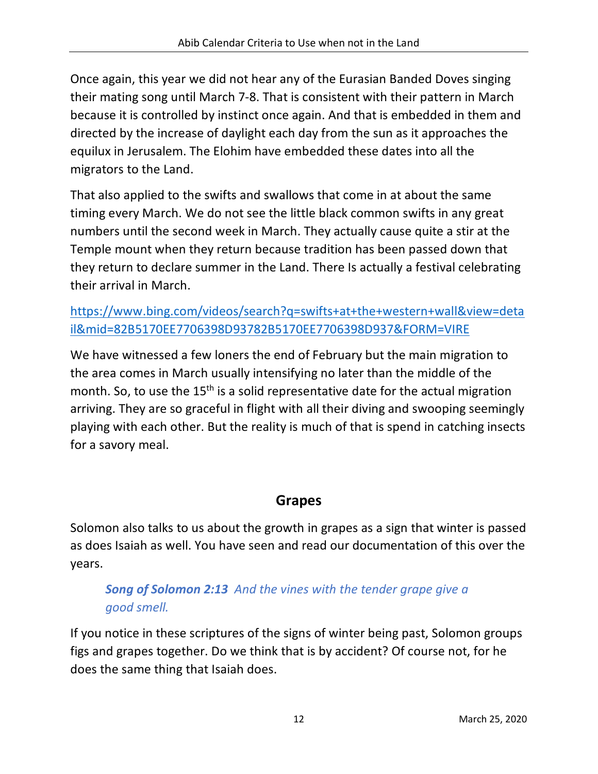Once again, this year we did not hear any of the Eurasian Banded Doves singing their mating song until March 7-8. That is consistent with their pattern in March because it is controlled by instinct once again. And that is embedded in them and directed by the increase of daylight each day from the sun as it approaches the equilux in Jerusalem. The Elohim have embedded these dates into all the migrators to the Land.

That also applied to the swifts and swallows that come in at about the same timing every March. We do not see the little black common swifts in any great numbers until the second week in March. They actually cause quite a stir at the Temple mount when they return because tradition has been passed down that they return to declare summer in the Land. There Is actually a festival celebrating their arrival in March.

https://www.bing.com/videos/search?q=swifts+at+the+western+wall&view=deta il&mid=82B5170EE7706398D93782B5170EE7706398D937&FORM=VIRE

We have witnessed a few loners the end of February but the main migration to the area comes in March usually intensifying no later than the middle of the month. So, to use the 15<sup>th</sup> is a solid representative date for the actual migration arriving. They are so graceful in flight with all their diving and swooping seemingly playing with each other. But the reality is much of that is spend in catching insects for a savory meal.

## **Grapes**

Solomon also talks to us about the growth in grapes as a sign that winter is passed as does Isaiah as well. You have seen and read our documentation of this over the years.

#### *Song of Solomon 2:13 And the vines with the tender grape give a good smell.*

If you notice in these scriptures of the signs of winter being past, Solomon groups figs and grapes together. Do we think that is by accident? Of course not, for he does the same thing that Isaiah does.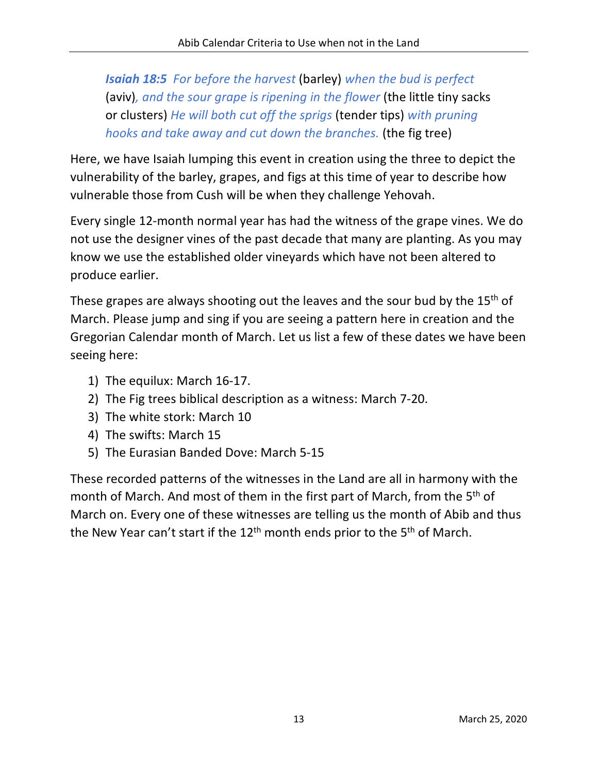*Isaiah 18:5 For before the harvest* (barley) *when the bud is perfect*  (aviv)*, and the sour grape is ripening in the flower* (the little tiny sacks or clusters) *He will both cut off the sprigs* (tender tips) *with pruning hooks and take away and cut down the branches.* (the fig tree)

Here, we have Isaiah lumping this event in creation using the three to depict the vulnerability of the barley, grapes, and figs at this time of year to describe how vulnerable those from Cush will be when they challenge Yehovah.

Every single 12-month normal year has had the witness of the grape vines. We do not use the designer vines of the past decade that many are planting. As you may know we use the established older vineyards which have not been altered to produce earlier.

These grapes are always shooting out the leaves and the sour bud by the 15<sup>th</sup> of March. Please jump and sing if you are seeing a pattern here in creation and the Gregorian Calendar month of March. Let us list a few of these dates we have been seeing here:

- 1) The equilux: March 16-17.
- 2) The Fig trees biblical description as a witness: March 7-20.
- 3) The white stork: March 10
- 4) The swifts: March 15
- 5) The Eurasian Banded Dove: March 5-15

These recorded patterns of the witnesses in the Land are all in harmony with the month of March. And most of them in the first part of March, from the 5th of March on. Every one of these witnesses are telling us the month of Abib and thus the New Year can't start if the  $12<sup>th</sup>$  month ends prior to the  $5<sup>th</sup>$  of March.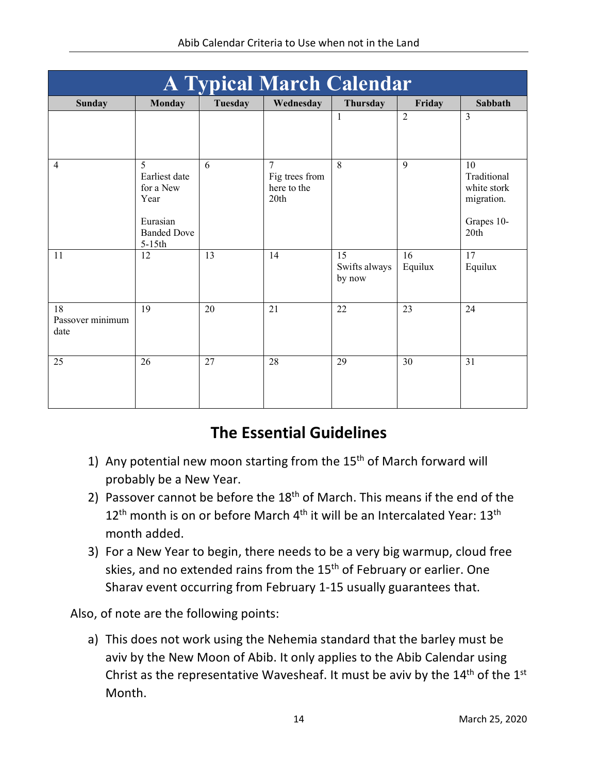| <b>A Typical March Calendar</b> |                                                                                       |         |                                                         |                               |                |                                                                      |
|---------------------------------|---------------------------------------------------------------------------------------|---------|---------------------------------------------------------|-------------------------------|----------------|----------------------------------------------------------------------|
| <b>Sunday</b>                   | <b>Monday</b>                                                                         | Tuesday | Wednesday                                               | Thursday                      | Friday         | Sabbath                                                              |
|                                 |                                                                                       |         |                                                         | $\mathbf{1}$                  | $\overline{2}$ | $\overline{3}$                                                       |
| $\overline{4}$                  | 5<br>Earliest date<br>for a New<br>Year<br>Eurasian<br><b>Banded Dove</b><br>$5-15th$ | 6       | $\overline{7}$<br>Fig trees from<br>here to the<br>20th | 8                             | 9              | 10<br>Traditional<br>white stork<br>migration.<br>Grapes 10-<br>20th |
| 11                              | 12                                                                                    | 13      | 14                                                      | 15<br>Swifts always<br>by now | 16<br>Equilux  | 17<br>Equilux                                                        |
| 18<br>Passover minimum<br>date  | 19                                                                                    | 20      | 21                                                      | 22                            | 23             | 24                                                                   |
| 25                              | 26                                                                                    | 27      | 28                                                      | 29                            | 30             | 31                                                                   |

# **The Essential Guidelines**

- 1) Any potential new moon starting from the  $15<sup>th</sup>$  of March forward will probably be a New Year.
- 2) Passover cannot be before the  $18<sup>th</sup>$  of March. This means if the end of the 12<sup>th</sup> month is on or before March 4<sup>th</sup> it will be an Intercalated Year: 13<sup>th</sup> month added.
- 3) For a New Year to begin, there needs to be a very big warmup, cloud free skies, and no extended rains from the 15<sup>th</sup> of February or earlier. One Sharav event occurring from February 1-15 usually guarantees that.

Also, of note are the following points:

a) This does not work using the Nehemia standard that the barley must be aviv by the New Moon of Abib. It only applies to the Abib Calendar using Christ as the representative Wavesheaf. It must be aviv by the  $14<sup>th</sup>$  of the  $1<sup>st</sup>$ Month.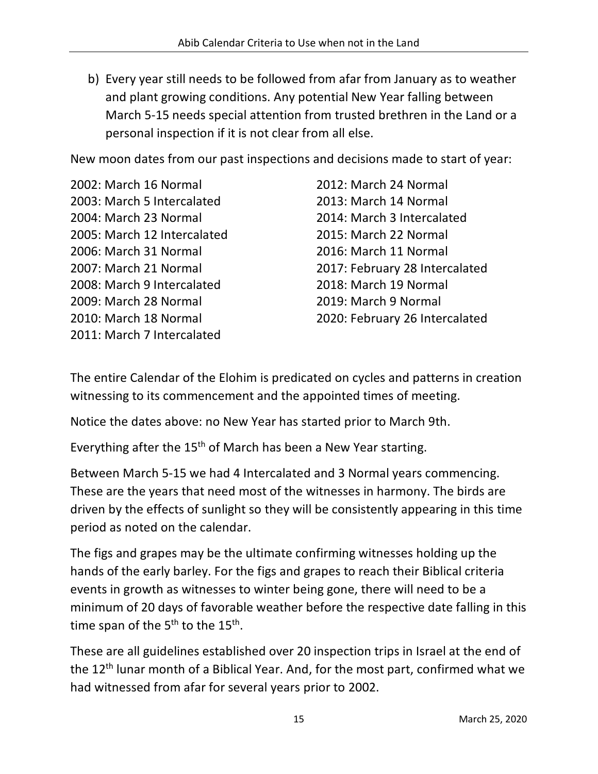b) Every year still needs to be followed from afar from January as to weather and plant growing conditions. Any potential New Year falling between March 5-15 needs special attention from trusted brethren in the Land or a personal inspection if it is not clear from all else.

New moon dates from our past inspections and decisions made to start of year:

2002: March 16 Normal 2003: March 5 Intercalated 2004: March 23 Normal 2005: March 12 Intercalated 2006: March 31 Normal 2007: March 21 Normal 2008: March 9 Intercalated 2009: March 28 Normal 2010: March 18 Normal 2011: March 7 Intercalated

2012: March 24 Normal 2013: March 14 Normal 2014: March 3 Intercalated 2015: March 22 Normal 2016: March 11 Normal 2017: February 28 Intercalated 2018: March 19 Normal 2019: March 9 Normal 2020: February 26 Intercalated

The entire Calendar of the Elohim is predicated on cycles and patterns in creation witnessing to its commencement and the appointed times of meeting.

Notice the dates above: no New Year has started prior to March 9th.

Everything after the 15<sup>th</sup> of March has been a New Year starting.

Between March 5-15 we had 4 Intercalated and 3 Normal years commencing. These are the years that need most of the witnesses in harmony. The birds are driven by the effects of sunlight so they will be consistently appearing in this time period as noted on the calendar.

The figs and grapes may be the ultimate confirming witnesses holding up the hands of the early barley. For the figs and grapes to reach their Biblical criteria events in growth as witnesses to winter being gone, there will need to be a minimum of 20 days of favorable weather before the respective date falling in this time span of the  $5<sup>th</sup>$  to the  $15<sup>th</sup>$ .

These are all guidelines established over 20 inspection trips in Israel at the end of the 12<sup>th</sup> lunar month of a Biblical Year. And, for the most part, confirmed what we had witnessed from afar for several years prior to 2002.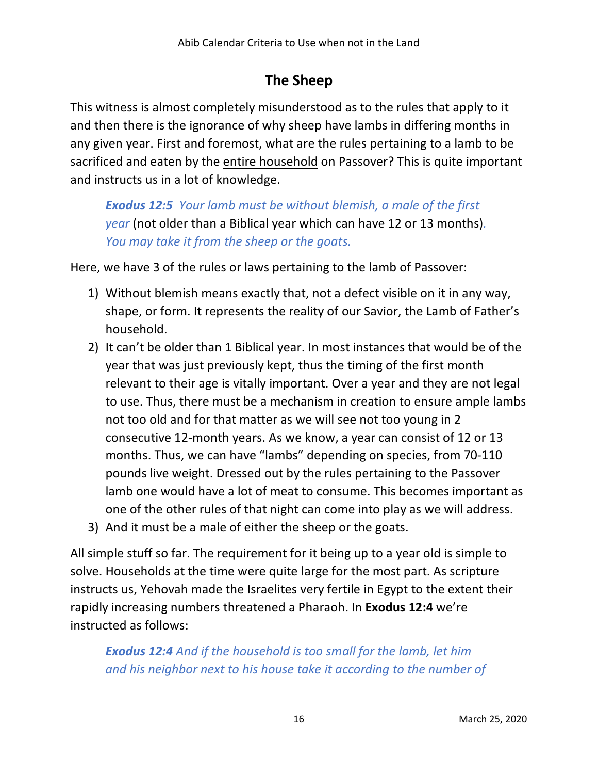# **The Sheep**

This witness is almost completely misunderstood as to the rules that apply to it and then there is the ignorance of why sheep have lambs in differing months in any given year. First and foremost, what are the rules pertaining to a lamb to be sacrificed and eaten by the entire household on Passover? This is quite important and instructs us in a lot of knowledge.

*Exodus 12:5 Your lamb must be without blemish, a male of the first year* (not older than a Biblical year which can have 12 or 13 months)*. You may take it from the sheep or the goats.*

Here, we have 3 of the rules or laws pertaining to the lamb of Passover:

- 1) Without blemish means exactly that, not a defect visible on it in any way, shape, or form. It represents the reality of our Savior, the Lamb of Father's household.
- 2) It can't be older than 1 Biblical year. In most instances that would be of the year that was just previously kept, thus the timing of the first month relevant to their age is vitally important. Over a year and they are not legal to use. Thus, there must be a mechanism in creation to ensure ample lambs not too old and for that matter as we will see not too young in 2 consecutive 12-month years. As we know, a year can consist of 12 or 13 months. Thus, we can have "lambs" depending on species, from 70-110 pounds live weight. Dressed out by the rules pertaining to the Passover lamb one would have a lot of meat to consume. This becomes important as one of the other rules of that night can come into play as we will address.
- 3) And it must be a male of either the sheep or the goats.

All simple stuff so far. The requirement for it being up to a year old is simple to solve. Households at the time were quite large for the most part. As scripture instructs us, Yehovah made the Israelites very fertile in Egypt to the extent their rapidly increasing numbers threatened a Pharaoh. In **Exodus 12:4** we're instructed as follows:

*Exodus 12:4 And if the household is too small for the lamb, let him and his neighbor next to his house take it according to the number of*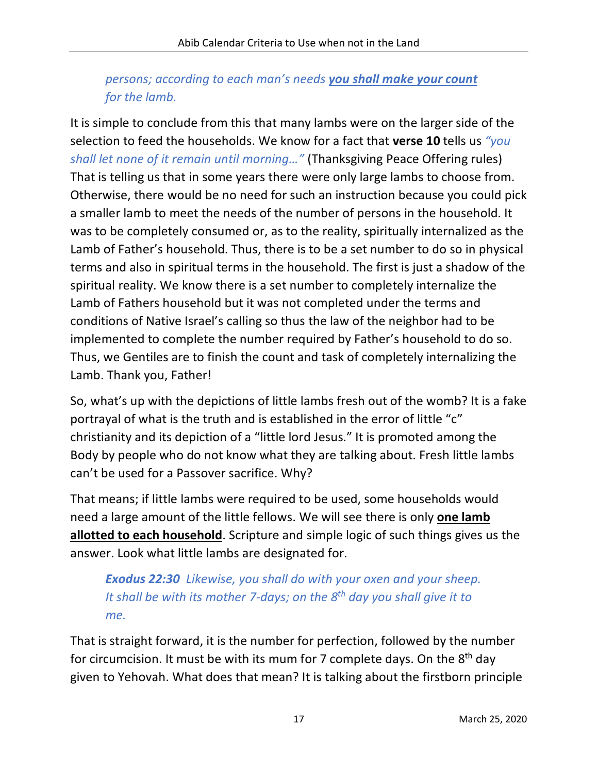#### *persons; according to each man's needs you shall make your count for the lamb.*

It is simple to conclude from this that many lambs were on the larger side of the selection to feed the households. We know for a fact that **verse 10** tells us *"you shall let none of it remain until morning…"* (Thanksgiving Peace Offering rules) That is telling us that in some years there were only large lambs to choose from. Otherwise, there would be no need for such an instruction because you could pick a smaller lamb to meet the needs of the number of persons in the household. It was to be completely consumed or, as to the reality, spiritually internalized as the Lamb of Father's household. Thus, there is to be a set number to do so in physical terms and also in spiritual terms in the household. The first is just a shadow of the spiritual reality. We know there is a set number to completely internalize the Lamb of Fathers household but it was not completed under the terms and conditions of Native Israel's calling so thus the law of the neighbor had to be implemented to complete the number required by Father's household to do so. Thus, we Gentiles are to finish the count and task of completely internalizing the Lamb. Thank you, Father!

So, what's up with the depictions of little lambs fresh out of the womb? It is a fake portrayal of what is the truth and is established in the error of little "c" christianity and its depiction of a "little lord Jesus." It is promoted among the Body by people who do not know what they are talking about. Fresh little lambs can't be used for a Passover sacrifice. Why?

That means; if little lambs were required to be used, some households would need a large amount of the little fellows. We will see there is only **one lamb allotted to each household**. Scripture and simple logic of such things gives us the answer. Look what little lambs are designated for.

#### *Exodus 22:30 Likewise, you shall do with your oxen and your sheep. It shall be with its mother 7-days; on the 8th day you shall give it to me.*

That is straight forward, it is the number for perfection, followed by the number for circumcision. It must be with its mum for 7 complete days. On the  $8<sup>th</sup>$  day given to Yehovah. What does that mean? It is talking about the firstborn principle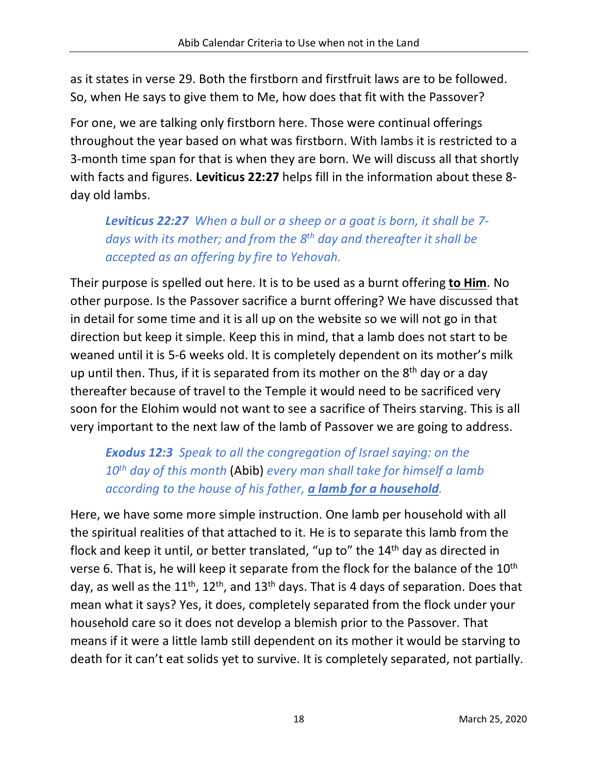as it states in verse 29. Both the firstborn and firstfruit laws are to be followed. So, when He says to give them to Me, how does that fit with the Passover?

For one, we are talking only firstborn here. Those were continual offerings throughout the year based on what was firstborn. With lambs it is restricted to a 3-month time span for that is when they are born. We will discuss all that shortly with facts and figures. **Leviticus 22:27** helps fill in the information about these 8 day old lambs.

*Leviticus 22:27 When a bull or a sheep or a goat is born, it shall be 7 days with its mother; and from the 8th day and thereafter it shall be accepted as an offering by fire to Yehovah.*

Their purpose is spelled out here. It is to be used as a burnt offering **to Him**. No other purpose. Is the Passover sacrifice a burnt offering? We have discussed that in detail for some time and it is all up on the website so we will not go in that direction but keep it simple. Keep this in mind, that a lamb does not start to be weaned until it is 5-6 weeks old. It is completely dependent on its mother's milk up until then. Thus, if it is separated from its mother on the  $8<sup>th</sup>$  day or a day thereafter because of travel to the Temple it would need to be sacrificed very soon for the Elohim would not want to see a sacrifice of Theirs starving. This is all very important to the next law of the lamb of Passover we are going to address.

*Exodus 12:3 Speak to all the congregation of Israel saying: on the 10th day of this month* (Abib) *every man shall take for himself a lamb according to the house of his father, a lamb for a household.*

Here, we have some more simple instruction. One lamb per household with all the spiritual realities of that attached to it. He is to separate this lamb from the flock and keep it until, or better translated, "up to" the 14<sup>th</sup> day as directed in verse 6. That is, he will keep it separate from the flock for the balance of the  $10<sup>th</sup>$ day, as well as the  $11^{th}$ ,  $12^{th}$ , and  $13^{th}$  days. That is 4 days of separation. Does that mean what it says? Yes, it does, completely separated from the flock under your household care so it does not develop a blemish prior to the Passover. That means if it were a little lamb still dependent on its mother it would be starving to death for it can't eat solids yet to survive. It is completely separated, not partially.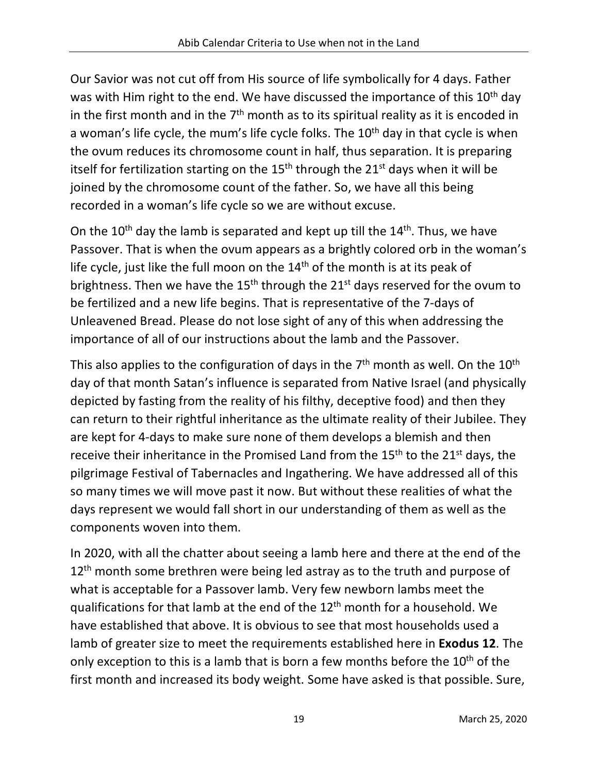Our Savior was not cut off from His source of life symbolically for 4 days. Father was with Him right to the end. We have discussed the importance of this 10<sup>th</sup> day in the first month and in the  $7<sup>th</sup>$  month as to its spiritual reality as it is encoded in a woman's life cycle, the mum's life cycle folks. The 10<sup>th</sup> day in that cycle is when the ovum reduces its chromosome count in half, thus separation. It is preparing itself for fertilization starting on the  $15<sup>th</sup>$  through the  $21<sup>st</sup>$  days when it will be joined by the chromosome count of the father. So, we have all this being recorded in a woman's life cycle so we are without excuse.

On the  $10^{th}$  day the lamb is separated and kept up till the  $14^{th}$ . Thus, we have Passover. That is when the ovum appears as a brightly colored orb in the woman's life cycle, just like the full moon on the 14<sup>th</sup> of the month is at its peak of brightness. Then we have the  $15<sup>th</sup>$  through the  $21<sup>st</sup>$  days reserved for the ovum to be fertilized and a new life begins. That is representative of the 7-days of Unleavened Bread. Please do not lose sight of any of this when addressing the importance of all of our instructions about the lamb and the Passover.

This also applies to the configuration of days in the  $7<sup>th</sup>$  month as well. On the  $10<sup>th</sup>$ day of that month Satan's influence is separated from Native Israel (and physically depicted by fasting from the reality of his filthy, deceptive food) and then they can return to their rightful inheritance as the ultimate reality of their Jubilee. They are kept for 4-days to make sure none of them develops a blemish and then receive their inheritance in the Promised Land from the 15<sup>th</sup> to the 21<sup>st</sup> days, the pilgrimage Festival of Tabernacles and Ingathering. We have addressed all of this so many times we will move past it now. But without these realities of what the days represent we would fall short in our understanding of them as well as the components woven into them.

In 2020, with all the chatter about seeing a lamb here and there at the end of the  $12<sup>th</sup>$  month some brethren were being led astray as to the truth and purpose of what is acceptable for a Passover lamb. Very few newborn lambs meet the qualifications for that lamb at the end of the 12th month for a household. We have established that above. It is obvious to see that most households used a lamb of greater size to meet the requirements established here in **Exodus 12**. The only exception to this is a lamb that is born a few months before the 10<sup>th</sup> of the first month and increased its body weight. Some have asked is that possible. Sure,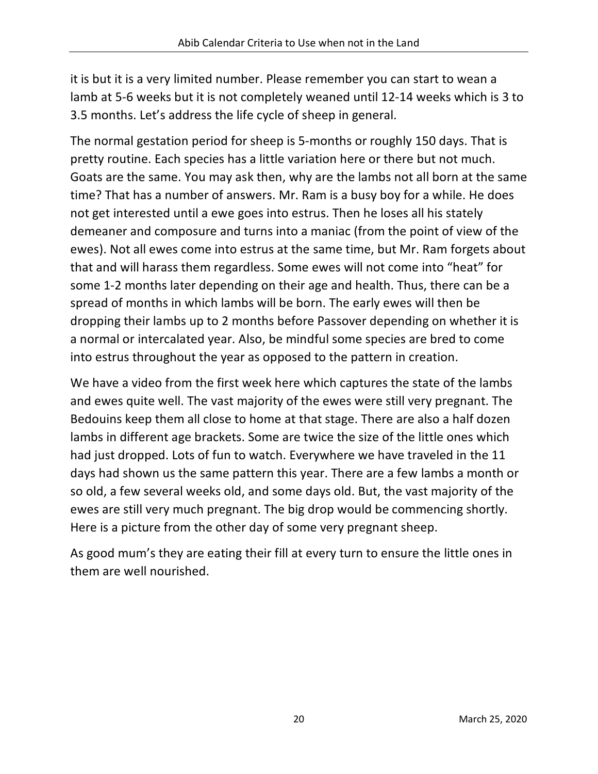it is but it is a very limited number. Please remember you can start to wean a lamb at 5-6 weeks but it is not completely weaned until 12-14 weeks which is 3 to 3.5 months. Let's address the life cycle of sheep in general.

The normal gestation period for sheep is 5-months or roughly 150 days. That is pretty routine. Each species has a little variation here or there but not much. Goats are the same. You may ask then, why are the lambs not all born at the same time? That has a number of answers. Mr. Ram is a busy boy for a while. He does not get interested until a ewe goes into estrus. Then he loses all his stately demeaner and composure and turns into a maniac (from the point of view of the ewes). Not all ewes come into estrus at the same time, but Mr. Ram forgets about that and will harass them regardless. Some ewes will not come into "heat" for some 1-2 months later depending on their age and health. Thus, there can be a spread of months in which lambs will be born. The early ewes will then be dropping their lambs up to 2 months before Passover depending on whether it is a normal or intercalated year. Also, be mindful some species are bred to come into estrus throughout the year as opposed to the pattern in creation.

We have a video from the first week here which captures the state of the lambs and ewes quite well. The vast majority of the ewes were still very pregnant. The Bedouins keep them all close to home at that stage. There are also a half dozen lambs in different age brackets. Some are twice the size of the little ones which had just dropped. Lots of fun to watch. Everywhere we have traveled in the 11 days had shown us the same pattern this year. There are a few lambs a month or so old, a few several weeks old, and some days old. But, the vast majority of the ewes are still very much pregnant. The big drop would be commencing shortly. Here is a picture from the other day of some very pregnant sheep.

As good mum's they are eating their fill at every turn to ensure the little ones in them are well nourished.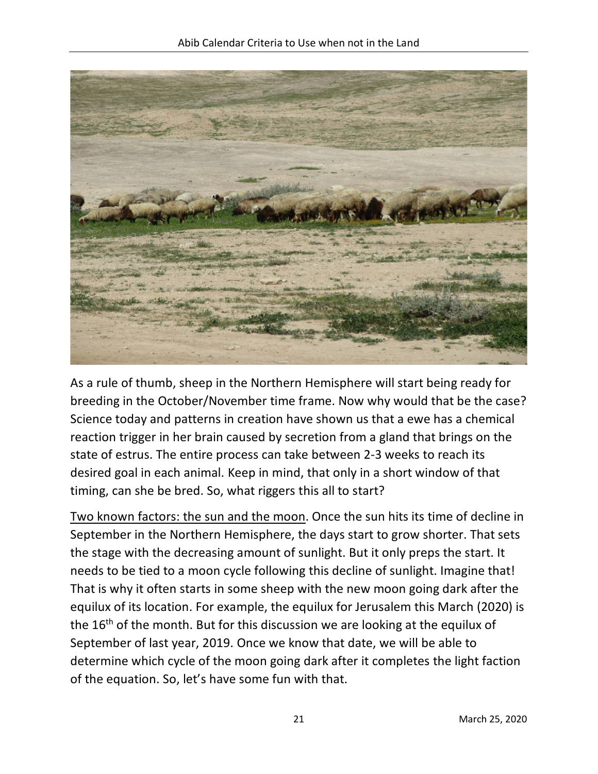

As a rule of thumb, sheep in the Northern Hemisphere will start being ready for breeding in the October/November time frame. Now why would that be the case? Science today and patterns in creation have shown us that a ewe has a chemical reaction trigger in her brain caused by secretion from a gland that brings on the state of estrus. The entire process can take between 2-3 weeks to reach its desired goal in each animal. Keep in mind, that only in a short window of that timing, can she be bred. So, what riggers this all to start?

Two known factors: the sun and the moon. Once the sun hits its time of decline in September in the Northern Hemisphere, the days start to grow shorter. That sets the stage with the decreasing amount of sunlight. But it only preps the start. It needs to be tied to a moon cycle following this decline of sunlight. Imagine that! That is why it often starts in some sheep with the new moon going dark after the equilux of its location. For example, the equilux for Jerusalem this March (2020) is the 16<sup>th</sup> of the month. But for this discussion we are looking at the equilux of September of last year, 2019. Once we know that date, we will be able to determine which cycle of the moon going dark after it completes the light faction of the equation. So, let's have some fun with that.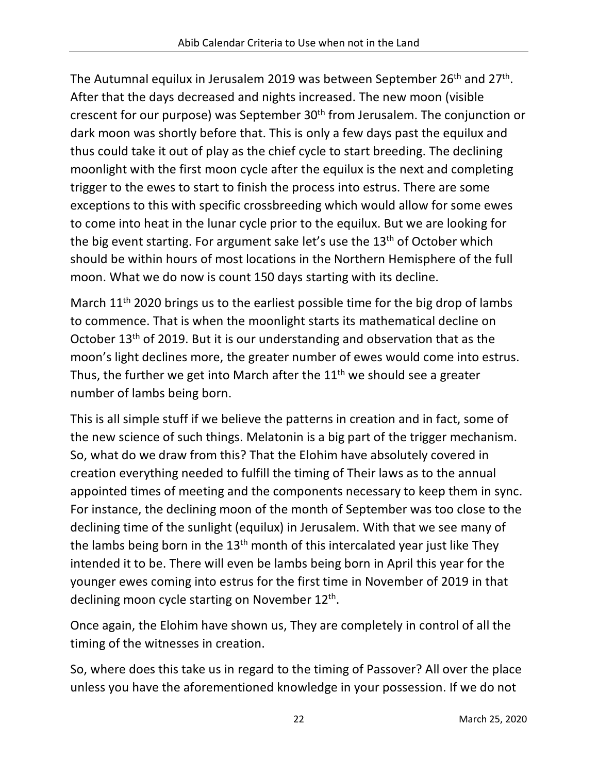The Autumnal equilux in Jerusalem 2019 was between September 26<sup>th</sup> and 27<sup>th</sup>. After that the days decreased and nights increased. The new moon (visible crescent for our purpose) was September 30th from Jerusalem. The conjunction or dark moon was shortly before that. This is only a few days past the equilux and thus could take it out of play as the chief cycle to start breeding. The declining moonlight with the first moon cycle after the equilux is the next and completing trigger to the ewes to start to finish the process into estrus. There are some exceptions to this with specific crossbreeding which would allow for some ewes to come into heat in the lunar cycle prior to the equilux. But we are looking for the big event starting. For argument sake let's use the 13<sup>th</sup> of October which should be within hours of most locations in the Northern Hemisphere of the full moon. What we do now is count 150 days starting with its decline.

March 11<sup>th</sup> 2020 brings us to the earliest possible time for the big drop of lambs to commence. That is when the moonlight starts its mathematical decline on October 13th of 2019. But it is our understanding and observation that as the moon's light declines more, the greater number of ewes would come into estrus. Thus, the further we get into March after the  $11<sup>th</sup>$  we should see a greater number of lambs being born.

This is all simple stuff if we believe the patterns in creation and in fact, some of the new science of such things. Melatonin is a big part of the trigger mechanism. So, what do we draw from this? That the Elohim have absolutely covered in creation everything needed to fulfill the timing of Their laws as to the annual appointed times of meeting and the components necessary to keep them in sync. For instance, the declining moon of the month of September was too close to the declining time of the sunlight (equilux) in Jerusalem. With that we see many of the lambs being born in the  $13<sup>th</sup>$  month of this intercalated year just like They intended it to be. There will even be lambs being born in April this year for the younger ewes coming into estrus for the first time in November of 2019 in that declining moon cycle starting on November 12th.

Once again, the Elohim have shown us, They are completely in control of all the timing of the witnesses in creation.

So, where does this take us in regard to the timing of Passover? All over the place unless you have the aforementioned knowledge in your possession. If we do not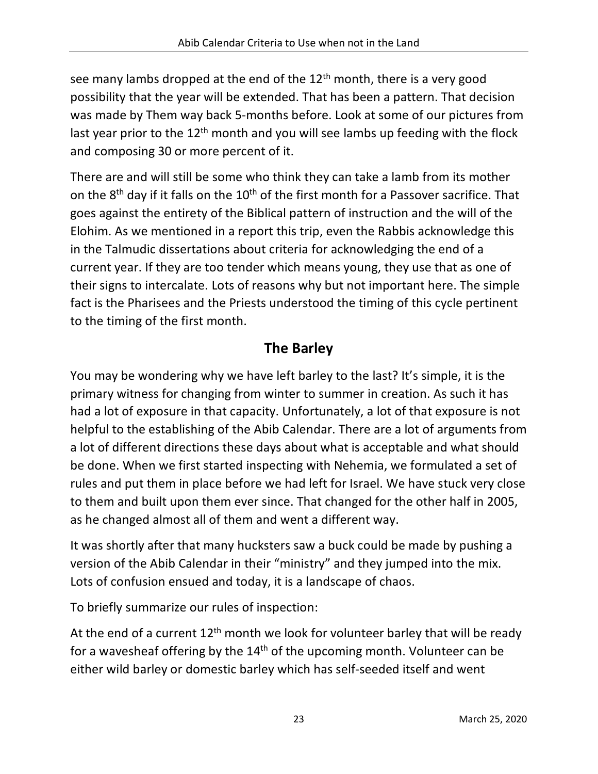see many lambs dropped at the end of the 12<sup>th</sup> month, there is a very good possibility that the year will be extended. That has been a pattern. That decision was made by Them way back 5-months before. Look at some of our pictures from last year prior to the  $12<sup>th</sup>$  month and you will see lambs up feeding with the flock and composing 30 or more percent of it.

There are and will still be some who think they can take a lamb from its mother on the 8<sup>th</sup> day if it falls on the 10<sup>th</sup> of the first month for a Passover sacrifice. That goes against the entirety of the Biblical pattern of instruction and the will of the Elohim. As we mentioned in a report this trip, even the Rabbis acknowledge this in the Talmudic dissertations about criteria for acknowledging the end of a current year. If they are too tender which means young, they use that as one of their signs to intercalate. Lots of reasons why but not important here. The simple fact is the Pharisees and the Priests understood the timing of this cycle pertinent to the timing of the first month.

## **The Barley**

You may be wondering why we have left barley to the last? It's simple, it is the primary witness for changing from winter to summer in creation. As such it has had a lot of exposure in that capacity. Unfortunately, a lot of that exposure is not helpful to the establishing of the Abib Calendar. There are a lot of arguments from a lot of different directions these days about what is acceptable and what should be done. When we first started inspecting with Nehemia, we formulated a set of rules and put them in place before we had left for Israel. We have stuck very close to them and built upon them ever since. That changed for the other half in 2005, as he changed almost all of them and went a different way.

It was shortly after that many hucksters saw a buck could be made by pushing a version of the Abib Calendar in their "ministry" and they jumped into the mix. Lots of confusion ensued and today, it is a landscape of chaos.

To briefly summarize our rules of inspection:

At the end of a current  $12<sup>th</sup>$  month we look for volunteer barley that will be ready for a wavesheaf offering by the 14<sup>th</sup> of the upcoming month. Volunteer can be either wild barley or domestic barley which has self-seeded itself and went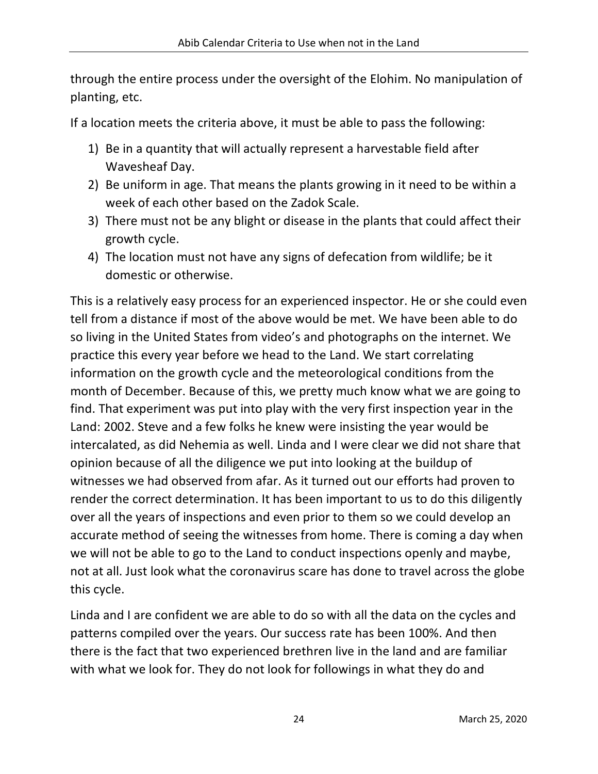through the entire process under the oversight of the Elohim. No manipulation of planting, etc.

If a location meets the criteria above, it must be able to pass the following:

- 1) Be in a quantity that will actually represent a harvestable field after Wavesheaf Day.
- 2) Be uniform in age. That means the plants growing in it need to be within a week of each other based on the Zadok Scale.
- 3) There must not be any blight or disease in the plants that could affect their growth cycle.
- 4) The location must not have any signs of defecation from wildlife; be it domestic or otherwise.

This is a relatively easy process for an experienced inspector. He or she could even tell from a distance if most of the above would be met. We have been able to do so living in the United States from video's and photographs on the internet. We practice this every year before we head to the Land. We start correlating information on the growth cycle and the meteorological conditions from the month of December. Because of this, we pretty much know what we are going to find. That experiment was put into play with the very first inspection year in the Land: 2002. Steve and a few folks he knew were insisting the year would be intercalated, as did Nehemia as well. Linda and I were clear we did not share that opinion because of all the diligence we put into looking at the buildup of witnesses we had observed from afar. As it turned out our efforts had proven to render the correct determination. It has been important to us to do this diligently over all the years of inspections and even prior to them so we could develop an accurate method of seeing the witnesses from home. There is coming a day when we will not be able to go to the Land to conduct inspections openly and maybe, not at all. Just look what the coronavirus scare has done to travel across the globe this cycle.

Linda and I are confident we are able to do so with all the data on the cycles and patterns compiled over the years. Our success rate has been 100%. And then there is the fact that two experienced brethren live in the land and are familiar with what we look for. They do not look for followings in what they do and